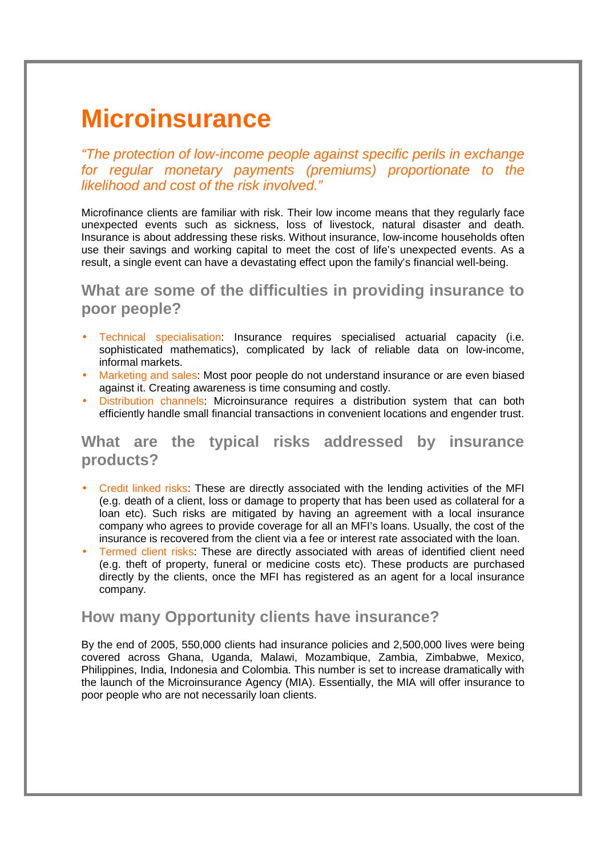## **Microinsurance**

"The protection of low-income people against specific perils in exchange for regular monetary payments (premiums) proportionate to the likelihood and cost of the risk involved."

Microfinance clients are familiar with risk. Their low income means that they regularly face unexpected events such as sickness, loss of livestock, natural disaster and death. Insurance is about addressing these risks. Without insurance, low-income households often use their savings and working capital to meet the cost of life's unexpected events. As a result, a single event can have a devastating effect upon the family's financial well-being.

**What are some of the difficulties in providing insurance to poor people?**

- Technical specialisation: Insurance requires specialised actuarial capacity (i.e. sophisticated mathematics), complicated by lack of reliable data on low-income, informal markets.
- Marketing and sales: Most poor people do not understand insurance or are even biased against it. Creating awareness is time consuming and costly.
- Distribution channels: Microinsurance requires a distribution system that can both efficiently handle small financial transactions in convenient locations and engender trust.

## **What are the typical risks addressed by insurance products?**

- Credit linked risks: These are directly associated with the lending activities of the MFI (e.g. death of a client, loss or damage to property that has been used as collateral for a loan etc). Such risks are mitigated by having an agreement with a local insurance company who agrees to provide coverage for all an MFI's loans. Usually, the cost of the insurance is recovered from the client via a fee or interest rate associated with the loan.
- Termed client risks: These are directly associated with areas of identified client need (e.g. theft of property, funeral or medicine costs etc). These products are purchased directly by the clients, once the MFI has registered as an agent for a local insurance company.

## **How many Opportunity clients have insurance?**

By the end of 2005, 550,000 clients had insurance policies and 2,500,000 lives were being covered across Ghana, Uganda, Malawi, Mozambique, Zambia, Zimbabwe, Mexico, Philippines, India, Indonesia and Colombia. This number is set to increase dramatically with the launch of the Microinsurance Agency (MIA). Essentially, the MIA will offer insurance to poor people who are not necessarily loan clients.